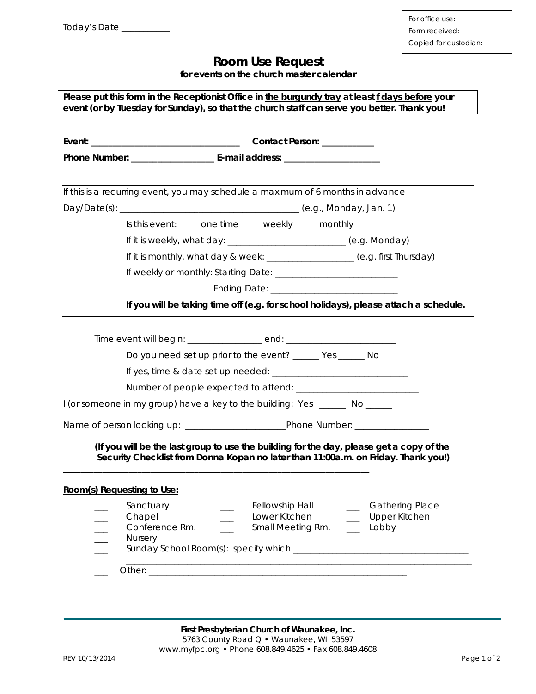## **Room Use Request**

**for events on the church master calendar** 

| Please put this form in the Receptionist Office in <i>the burgundy tray</i> at least f days before your |  |
|---------------------------------------------------------------------------------------------------------|--|
| event (or by Tuesday for Sunday), so that the church staff can serve you better. Thank you!             |  |

| If this is a recurring event, you may schedule a maximum of 6 months in advance  |                |                               |  |                                                                                                                                                                                |
|----------------------------------------------------------------------------------|----------------|-------------------------------|--|--------------------------------------------------------------------------------------------------------------------------------------------------------------------------------|
|                                                                                  |                |                               |  |                                                                                                                                                                                |
| Is this event: _____one time _____weekly _____ monthly                           |                |                               |  |                                                                                                                                                                                |
| If it is weekly, what day: __________________________ (e.g. Monday)              |                |                               |  |                                                                                                                                                                                |
| If it is monthly, what day & week: _________________ (e.g. first Thursday)       |                |                               |  |                                                                                                                                                                                |
|                                                                                  |                |                               |  |                                                                                                                                                                                |
|                                                                                  |                |                               |  |                                                                                                                                                                                |
|                                                                                  |                |                               |  | If you will be taking time off (e.g. for school holidays), please attach a schedule.                                                                                           |
|                                                                                  |                |                               |  |                                                                                                                                                                                |
| Time event will begin: _________________ end: __________________________________ |                |                               |  |                                                                                                                                                                                |
| Do you need set up prior to the event? ______ Yes ______ No                      |                |                               |  |                                                                                                                                                                                |
|                                                                                  |                |                               |  |                                                                                                                                                                                |
|                                                                                  |                |                               |  |                                                                                                                                                                                |
| I (or someone in my group) have a key to the building: Yes ______ No _____       |                |                               |  |                                                                                                                                                                                |
|                                                                                  |                |                               |  |                                                                                                                                                                                |
|                                                                                  |                |                               |  |                                                                                                                                                                                |
|                                                                                  |                |                               |  | (If you will be the last group to use the building for the day, please get a copy of the<br>Security Checklist from Donna Kopan no later than 11:00a.m. on Friday. Thank you!) |
|                                                                                  |                |                               |  |                                                                                                                                                                                |
| Room(s) Requesting to Use:                                                       |                |                               |  |                                                                                                                                                                                |
| Sanctuary                                                                        |                | <b>Fellowship Hall</b>        |  | __ Gathering Place                                                                                                                                                             |
| Chapel                                                                           |                | Lower Kitchen                 |  | __ Upper Kitchen                                                                                                                                                               |
| Conference Rm.                                                                   | $\overline{a}$ | Small Meeting Rm. _____ Lobby |  |                                                                                                                                                                                |
| <b>Nursery</b>                                                                   |                |                               |  |                                                                                                                                                                                |
|                                                                                  |                |                               |  |                                                                                                                                                                                |
|                                                                                  |                |                               |  |                                                                                                                                                                                |